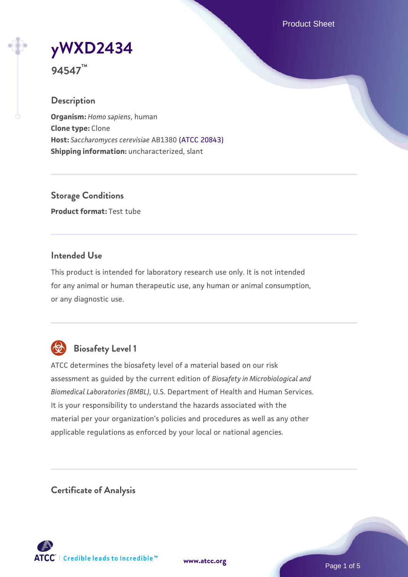Product Sheet

**[yWXD2434](https://www.atcc.org/products/94547)**

**94547™**

### **Description**

**Organism:** *Homo sapiens*, human **Clone type:** Clone **Host:** *Saccharomyces cerevisiae* AB1380 [\(ATCC 20843\)](https://www.atcc.org/products/20843) **Shipping information:** uncharacterized, slant

**Storage Conditions Product format:** Test tube

### **Intended Use**

This product is intended for laboratory research use only. It is not intended for any animal or human therapeutic use, any human or animal consumption, or any diagnostic use.



# **Biosafety Level 1**

ATCC determines the biosafety level of a material based on our risk assessment as guided by the current edition of *Biosafety in Microbiological and Biomedical Laboratories (BMBL)*, U.S. Department of Health and Human Services. It is your responsibility to understand the hazards associated with the material per your organization's policies and procedures as well as any other applicable regulations as enforced by your local or national agencies.

**Certificate of Analysis**

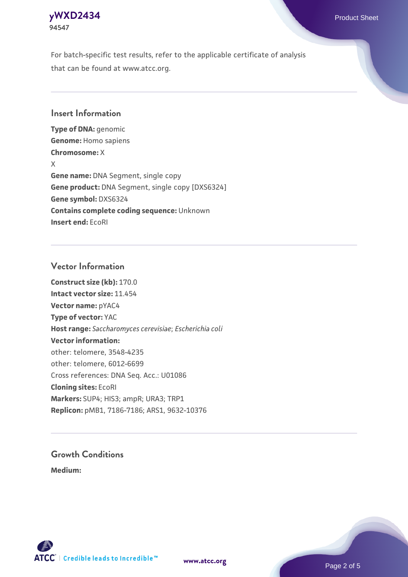# **[yWXD2434](https://www.atcc.org/products/94547)** Product Sheet **94547**

For batch-specific test results, refer to the applicable certificate of analysis that can be found at www.atcc.org.

### **Insert Information**

**Type of DNA:** genomic **Genome:** Homo sapiens **Chromosome:** X X **Gene name:** DNA Segment, single copy **Gene product:** DNA Segment, single copy [DXS6324] **Gene symbol:** DXS6324 **Contains complete coding sequence:** Unknown **Insert end:** EcoRI

#### **Vector Information**

**Construct size (kb):** 170.0 **Intact vector size:** 11.454 **Vector name:** pYAC4 **Type of vector:** YAC **Host range:** *Saccharomyces cerevisiae*; *Escherichia coli* **Vector information:** other: telomere, 3548-4235 other: telomere, 6012-6699 Cross references: DNA Seq. Acc.: U01086 **Cloning sites:** EcoRI **Markers:** SUP4; HIS3; ampR; URA3; TRP1 **Replicon:** pMB1, 7186-7186; ARS1, 9632-10376

# **Growth Conditions**

**Medium:** 



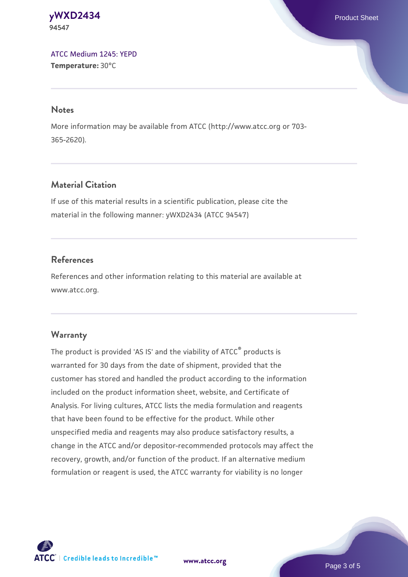#### **[yWXD2434](https://www.atcc.org/products/94547)** Product Sheet **94547**

[ATCC Medium 1245: YEPD](https://www.atcc.org/-/media/product-assets/documents/microbial-media-formulations/1/2/4/5/atcc-medium-1245.pdf?rev=705ca55d1b6f490a808a965d5c072196) **Temperature:** 30°C

#### **Notes**

More information may be available from ATCC (http://www.atcc.org or 703- 365-2620).

# **Material Citation**

If use of this material results in a scientific publication, please cite the material in the following manner: yWXD2434 (ATCC 94547)

# **References**

References and other information relating to this material are available at www.atcc.org.

# **Warranty**

The product is provided 'AS IS' and the viability of ATCC® products is warranted for 30 days from the date of shipment, provided that the customer has stored and handled the product according to the information included on the product information sheet, website, and Certificate of Analysis. For living cultures, ATCC lists the media formulation and reagents that have been found to be effective for the product. While other unspecified media and reagents may also produce satisfactory results, a change in the ATCC and/or depositor-recommended protocols may affect the recovery, growth, and/or function of the product. If an alternative medium formulation or reagent is used, the ATCC warranty for viability is no longer



**[www.atcc.org](http://www.atcc.org)**

Page 3 of 5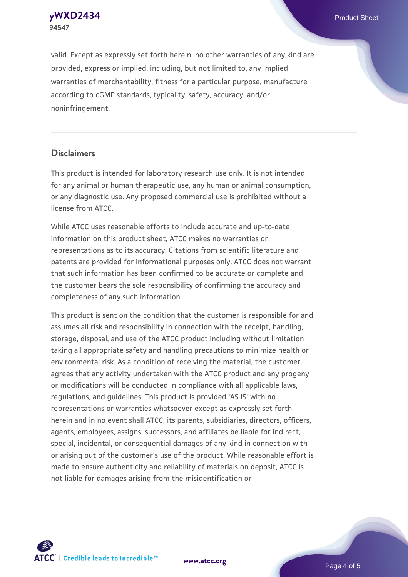**94547**

**[yWXD2434](https://www.atcc.org/products/94547)** Product Sheet

valid. Except as expressly set forth herein, no other warranties of any kind are provided, express or implied, including, but not limited to, any implied warranties of merchantability, fitness for a particular purpose, manufacture according to cGMP standards, typicality, safety, accuracy, and/or noninfringement.

#### **Disclaimers**

This product is intended for laboratory research use only. It is not intended for any animal or human therapeutic use, any human or animal consumption, or any diagnostic use. Any proposed commercial use is prohibited without a license from ATCC.

While ATCC uses reasonable efforts to include accurate and up-to-date information on this product sheet, ATCC makes no warranties or representations as to its accuracy. Citations from scientific literature and patents are provided for informational purposes only. ATCC does not warrant that such information has been confirmed to be accurate or complete and the customer bears the sole responsibility of confirming the accuracy and completeness of any such information.

This product is sent on the condition that the customer is responsible for and assumes all risk and responsibility in connection with the receipt, handling, storage, disposal, and use of the ATCC product including without limitation taking all appropriate safety and handling precautions to minimize health or environmental risk. As a condition of receiving the material, the customer agrees that any activity undertaken with the ATCC product and any progeny or modifications will be conducted in compliance with all applicable laws, regulations, and guidelines. This product is provided 'AS IS' with no representations or warranties whatsoever except as expressly set forth herein and in no event shall ATCC, its parents, subsidiaries, directors, officers, agents, employees, assigns, successors, and affiliates be liable for indirect, special, incidental, or consequential damages of any kind in connection with or arising out of the customer's use of the product. While reasonable effort is made to ensure authenticity and reliability of materials on deposit, ATCC is not liable for damages arising from the misidentification or



**[www.atcc.org](http://www.atcc.org)**

Page 4 of 5